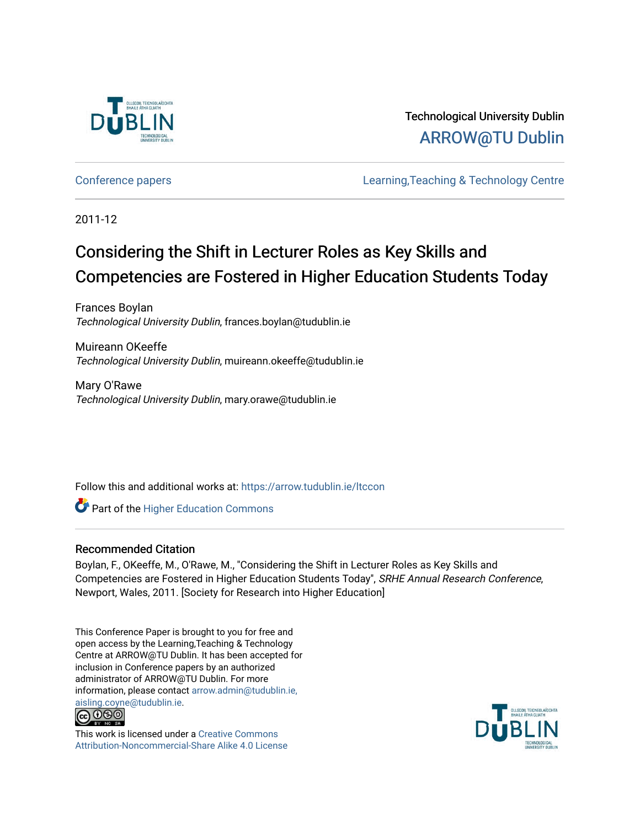

Technological University Dublin [ARROW@TU Dublin](https://arrow.tudublin.ie/) 

[Conference papers](https://arrow.tudublin.ie/ltccon) [Learning,Teaching & Technology Centre](https://arrow.tudublin.ie/ltc) 

2011-12

# Considering the Shift in Lecturer Roles as Key Skills and Competencies are Fostered in Higher Education Students Today

Frances Boylan Technological University Dublin, frances.boylan@tudublin.ie

Muireann OKeeffe Technological University Dublin, muireann.okeeffe@tudublin.ie

Mary O'Rawe Technological University Dublin, mary.orawe@tudublin.ie

Follow this and additional works at: [https://arrow.tudublin.ie/ltccon](https://arrow.tudublin.ie/ltccon?utm_source=arrow.tudublin.ie%2Fltccon%2F14&utm_medium=PDF&utm_campaign=PDFCoverPages)

**Part of the Higher Education Commons** 

#### Recommended Citation

Boylan, F., OKeeffe, M., O'Rawe, M., ''Considering the Shift in Lecturer Roles as Key Skills and Competencies are Fostered in Higher Education Students Today'', SRHE Annual Research Conference, Newport, Wales, 2011. [Society for Research into Higher Education]

This Conference Paper is brought to you for free and open access by the Learning,Teaching & Technology Centre at ARROW@TU Dublin. It has been accepted for inclusion in Conference papers by an authorized administrator of ARROW@TU Dublin. For more information, please contact [arrow.admin@tudublin.ie,](mailto:arrow.admin@tudublin.ie,%20aisling.coyne@tudublin.ie)  [aisling.coyne@tudublin.ie.](mailto:arrow.admin@tudublin.ie,%20aisling.coyne@tudublin.ie)<br>@009



This work is licensed under a [Creative Commons](http://creativecommons.org/licenses/by-nc-sa/4.0/) [Attribution-Noncommercial-Share Alike 4.0 License](http://creativecommons.org/licenses/by-nc-sa/4.0/)

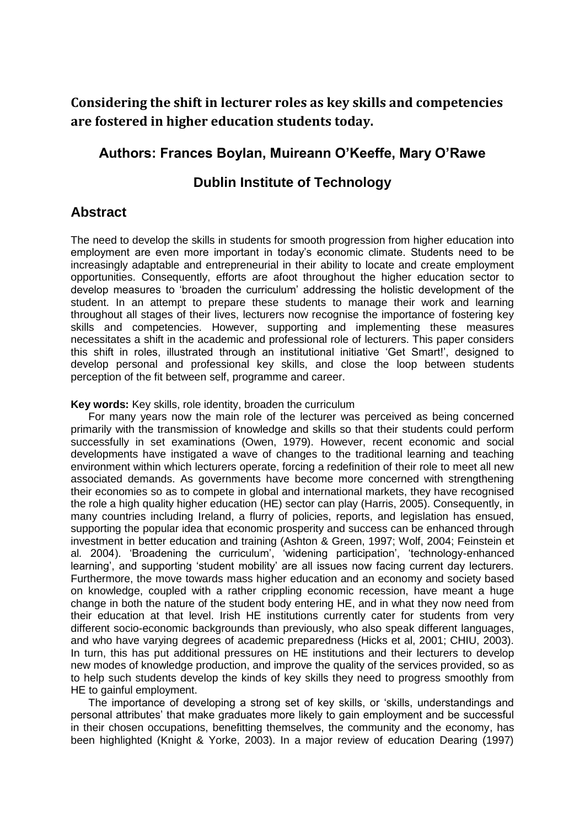**Considering the shift in lecturer roles as key skills and competencies are fostered in higher education students today.**

### **Authors: Frances Boylan, Muireann O'Keeffe, Mary O'Rawe**

## **Dublin Institute of Technology**

## **Abstract**

The need to develop the skills in students for smooth progression from higher education into employment are even more important in today"s economic climate. Students need to be increasingly adaptable and entrepreneurial in their ability to locate and create employment opportunities. Consequently, efforts are afoot throughout the higher education sector to develop measures to "broaden the curriculum" addressing the holistic development of the student. In an attempt to prepare these students to manage their work and learning throughout all stages of their lives, lecturers now recognise the importance of fostering key skills and competencies. However, supporting and implementing these measures necessitates a shift in the academic and professional role of lecturers. This paper considers this shift in roles, illustrated through an institutional initiative "Get Smart!", designed to develop personal and professional key skills, and close the loop between students perception of the fit between self, programme and career.

#### **Key words:** Key skills, role identity, broaden the curriculum

For many years now the main role of the lecturer was perceived as being concerned primarily with the transmission of knowledge and skills so that their students could perform successfully in set examinations (Owen, 1979). However, recent economic and social developments have instigated a wave of changes to the traditional learning and teaching environment within which lecturers operate, forcing a redefinition of their role to meet all new associated demands. As governments have become more concerned with strengthening their economies so as to compete in global and international markets, they have recognised the role a high quality higher education (HE) sector can play (Harris, 2005). Consequently, in many countries including Ireland, a flurry of policies, reports, and legislation has ensued, supporting the popular idea that economic prosperity and success can be enhanced through investment in better education and training (Ashton & Green, 1997; Wolf, 2004; Feinstein et al*.* 2004). "Broadening the curriculum", "widening participation", "technology-enhanced learning', and supporting 'student mobility' are all issues now facing current day lecturers. Furthermore, the move towards mass higher education and an economy and society based on knowledge, coupled with a rather crippling economic recession, have meant a huge change in both the nature of the student body entering HE, and in what they now need from their education at that level. Irish HE institutions currently cater for students from very different socio-economic backgrounds than previously, who also speak different languages, and who have varying degrees of academic preparedness (Hicks et al, 2001; CHIU, 2003). In turn, this has put additional pressures on HE institutions and their lecturers to develop new modes of knowledge production, and improve the quality of the services provided, so as to help such students develop the kinds of key skills they need to progress smoothly from HE to gainful employment.

The importance of developing a strong set of key skills, or "skills, understandings and personal attributes" that make graduates more likely to gain employment and be successful in their chosen occupations, benefitting themselves, the community and the economy, has been highlighted (Knight & Yorke, 2003). In a major review of education Dearing (1997)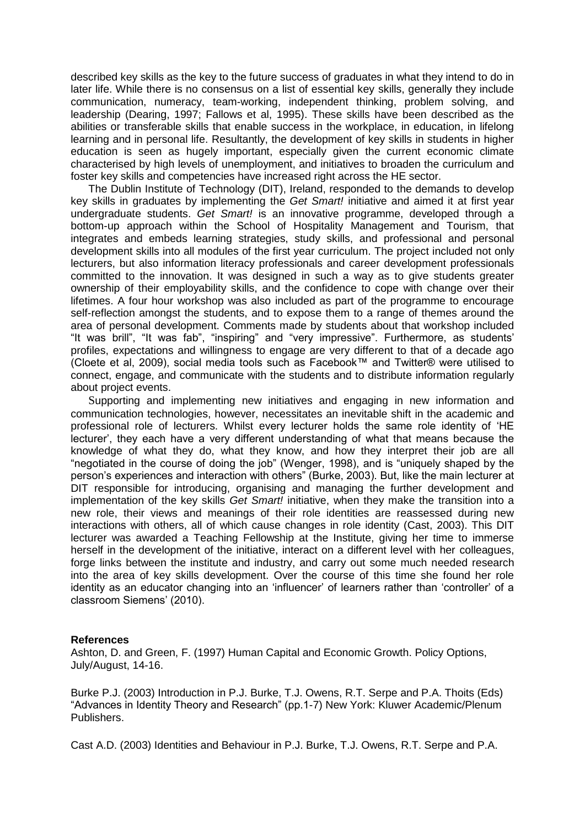described key skills as the key to the future success of graduates in what they intend to do in later life. While there is no consensus on a list of essential key skills, generally they include communication, numeracy, team-working, independent thinking, problem solving, and leadership (Dearing, 1997; Fallows et al, 1995). These skills have been described as the abilities or transferable skills that enable success in the workplace, in education, in lifelong learning and in personal life. Resultantly, the development of key skills in students in higher education is seen as hugely important, especially given the current economic climate characterised by high levels of unemployment, and initiatives to broaden the curriculum and foster key skills and competencies have increased right across the HE sector.

The Dublin Institute of Technology (DIT), Ireland, responded to the demands to develop key skills in graduates by implementing the *Get Smart!* initiative and aimed it at first year undergraduate students. *Get Smart!* is an innovative programme, developed through a bottom-up approach within the School of Hospitality Management and Tourism, that integrates and embeds learning strategies, study skills, and professional and personal development skills into all modules of the first year curriculum. The project included not only lecturers, but also information literacy professionals and career development professionals committed to the innovation. It was designed in such a way as to give students greater ownership of their employability skills, and the confidence to cope with change over their lifetimes. A four hour workshop was also included as part of the programme to encourage self-reflection amongst the students, and to expose them to a range of themes around the area of personal development. Comments made by students about that workshop included "It was brill", "It was fab", "inspiring" and "very impressive". Furthermore, as students" profiles, expectations and willingness to engage are very different to that of a decade ago (Cloete et al, 2009), social media tools such as Facebook™ and Twitter® were utilised to connect, engage, and communicate with the students and to distribute information regularly about project events.

Supporting and implementing new initiatives and engaging in new information and communication technologies, however, necessitates an inevitable shift in the academic and professional role of lecturers. Whilst every lecturer holds the same role identity of "HE lecturer", they each have a very different understanding of what that means because the knowledge of what they do, what they know, and how they interpret their job are all "negotiated in the course of doing the job" (Wenger, 1998), and is "uniquely shaped by the person"s experiences and interaction with others" (Burke, 2003). But, like the main lecturer at DIT responsible for introducing, organising and managing the further development and implementation of the key skills *Get Smart!* initiative, when they make the transition into a new role, their views and meanings of their role identities are reassessed during new interactions with others, all of which cause changes in role identity (Cast, 2003). This DIT lecturer was awarded a Teaching Fellowship at the Institute, giving her time to immerse herself in the development of the initiative, interact on a different level with her colleagues, forge links between the institute and industry, and carry out some much needed research into the area of key skills development. Over the course of this time she found her role identity as an educator changing into an "influencer" of learners rather than "controller" of a classroom Siemens" (2010).

#### **References**

Ashton, D. and Green, F. (1997) Human Capital and Economic Growth. Policy Options, July/August, 14-16.

Burke P.J. (2003) Introduction in P.J. Burke, T.J. Owens, R.T. Serpe and P.A. Thoits (Eds) "Advances in Identity Theory and Research" (pp.1-7) New York: Kluwer Academic/Plenum Publishers.

Cast A.D. (2003) Identities and Behaviour in P.J. Burke, T.J. Owens, R.T. Serpe and P.A.